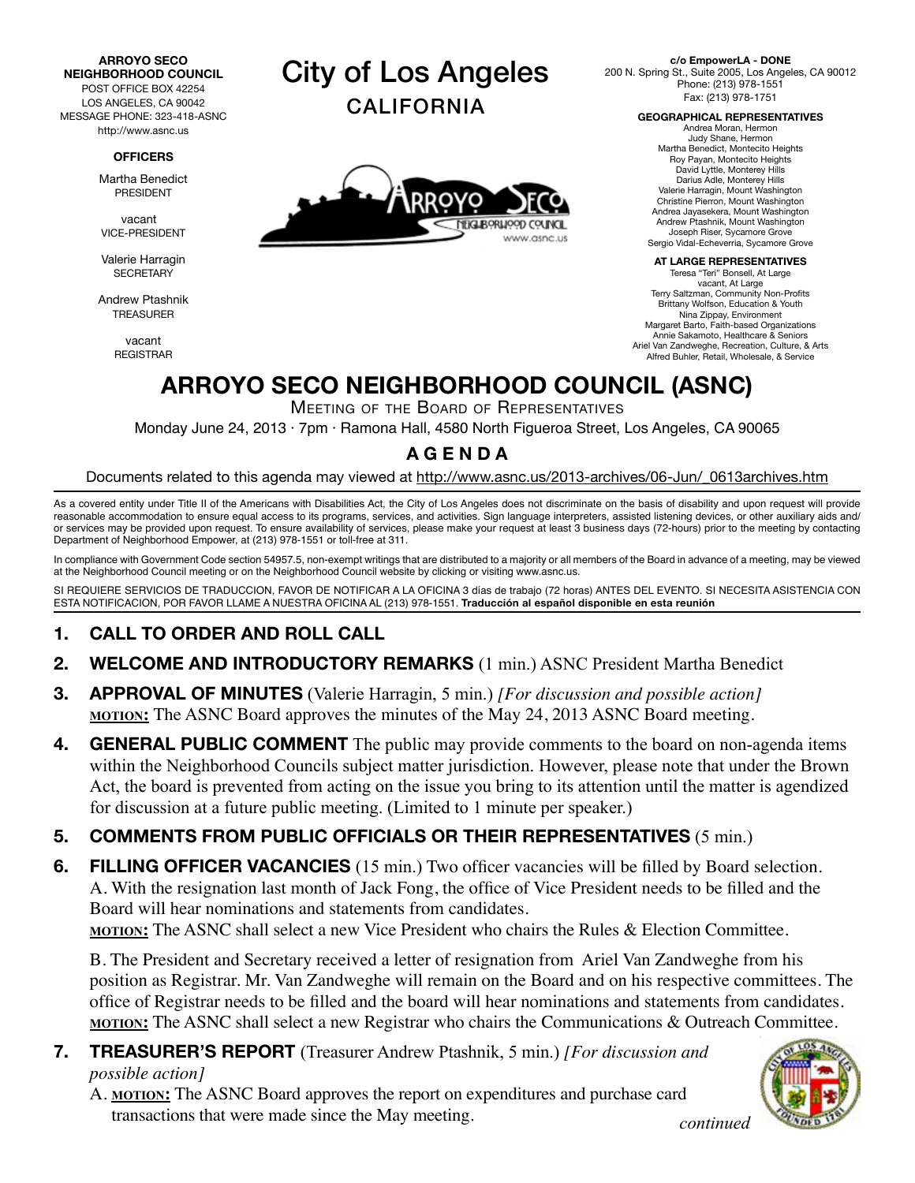### **ARROYO SECO**

**NEIGHBORHOOD COUNCIL** POST OFFICE BOX 42254 LOS ANGELES, CA 90042

MESSAGE PHONE: 323-418-ASNC http://www.asnc.us

#### **OFFICERS**

Martha Benedict PRESIDENT

vacant VICE-PRESIDENT

Valerie Harragin **SECRETARY** 

Andrew Ptashnik TREASURER

> vacant REGISTRAR

City of Los Angeles CALIFORNIA



**c/o EmpowerLA - DONE** 200 N. Spring St., Suite 2005, Los Angeles, CA 90012 Phone: (213) 978-1551 Fax: (213) 978-1751

**GEOGRAPHICAL REPRESENTATIVES**

Andrea Moran, Hermon Judy Shane, Hermon Martha Benedict, Montecito Heights Roy Payan, Montecito Heights David Lyttle, Monterey Hills Darius Adle, Monterey Hills Valerie Harragin, Mount Washington Christine Pierron, Mount Washington Andrea Jayasekera, Mount Washington Andrew Ptashnik, Mount Washington Joseph Riser, Sycamore Grove Sergio Vidal-Echeverria, Sycamore Grove

#### **AT LARGE REPRESENTATIVES**

Teresa "Teri" Bonsell, At Large vacant, At Large Terry Saltzman, Community Non-Profits Brittany Wolfson, Education & Youth Nina Zippay, Environment Margaret Barto, Faith-based Organizations Annie Sakamoto, Healthcare & Seniors Ariel Van Zandweghe, Recreation, Culture, & Arts Alfred Buhler, Retail, Wholesale, & Service

# **ARROYO SECO NEIGHBORHOOD COUNCIL (ASNC)**

Meeting of the Board of Representatives

Monday June 24, 2013 · 7pm · Ramona Hall, 4580 North Figueroa Street, Los Angeles, CA 90065

# **A G E N D A**

Documents related to this agenda may viewed at http://www.asnc.us/2013-archives/06-Jun/\_0613archives.htm

As a covered entity under Title II of the Americans with Disabilities Act, the City of Los Angeles does not discriminate on the basis of disability and upon request will provide reasonable accommodation to ensure equal access to its programs, services, and activities. Sign language interpreters, assisted listening devices, or other auxiliary aids and/ or services may be provided upon request. To ensure availability of services, please make your request at least 3 business days (72-hours) prior to the meeting by contacting Department of Neighborhood Empower, at (213) 978-1551 or toll-free at 311.

In compliance with Government Code section 54957.5, non-exempt writings that are distributed to a majority or all members of the Board in advance of a meeting, may be viewed at the Neighborhood Council meeting or on the Neighborhood Council website by clicking or visiting www.asnc.us.

SI REQUIERE SERVICIOS DE TRADUCCION, FAVOR DE NOTIFICAR A LA OFICINA 3 días de trabajo (72 horas) ANTES DEL EVENTO. SI NECESITA ASISTENCIA CON ESTA NOTIFICACION, POR FAVOR LLAME A NUESTRA OFICINA AL (213) 978-1551. **Traducción al español disponible en esta reunión**

# **1. CALL TO ORDER AND ROLL CALL**

- **2. WELCOME and INTRODUCTORY REMARKS** (1 min.) ASNC President Martha Benedict
- **3. APPROVAL OF MINUTES** (Valerie Harragin, 5 min.) *[For discussion and possible action]*  **MOTION:** The ASNC Board approves the minutes of the May 24, 2013 ASNC Board meeting.
- **4. GENERAL PUBLIC COMMENT** The public may provide comments to the board on non-agenda items within the Neighborhood Councils subject matter jurisdiction. However, please note that under the Brown Act, the board is prevented from acting on the issue you bring to its attention until the matter is agendized for discussion at a future public meeting. (Limited to 1 minute per speaker.)

### **5. COMMENTS FROM PUBLIC OFFICIALS OR THEIR REPRESENTATIVES** (5 min.)

**6. FILLING OFFICER VACANCIES** (15 min.) Two officer vacancies will be filled by Board selection. A. With the resignation last month of Jack Fong, the office of Vice President needs to be filled and the Board will hear nominations and statements from candidates.

**motion:** The ASNC shall select a new Vice President who chairs the Rules & Election Committee.

B. The President and Secretary received a letter of resignation from Ariel Van Zandweghe from his position as Registrar. Mr. Van Zandweghe will remain on the Board and on his respective committees. The office of Registrar needs to be filled and the board will hear nominations and statements from candidates. **MOTION:** The ASNC shall select a new Registrar who chairs the Communications & Outreach Committee.

- **7. TREASURER'S REPORT** (Treasurer Andrew Ptashnik, 5 min.) *[For discussion and possible action]*
	- A. **motion:** The ASNC Board approves the report on expenditures and purchase card transactions that were made since the May meeting.



*continued*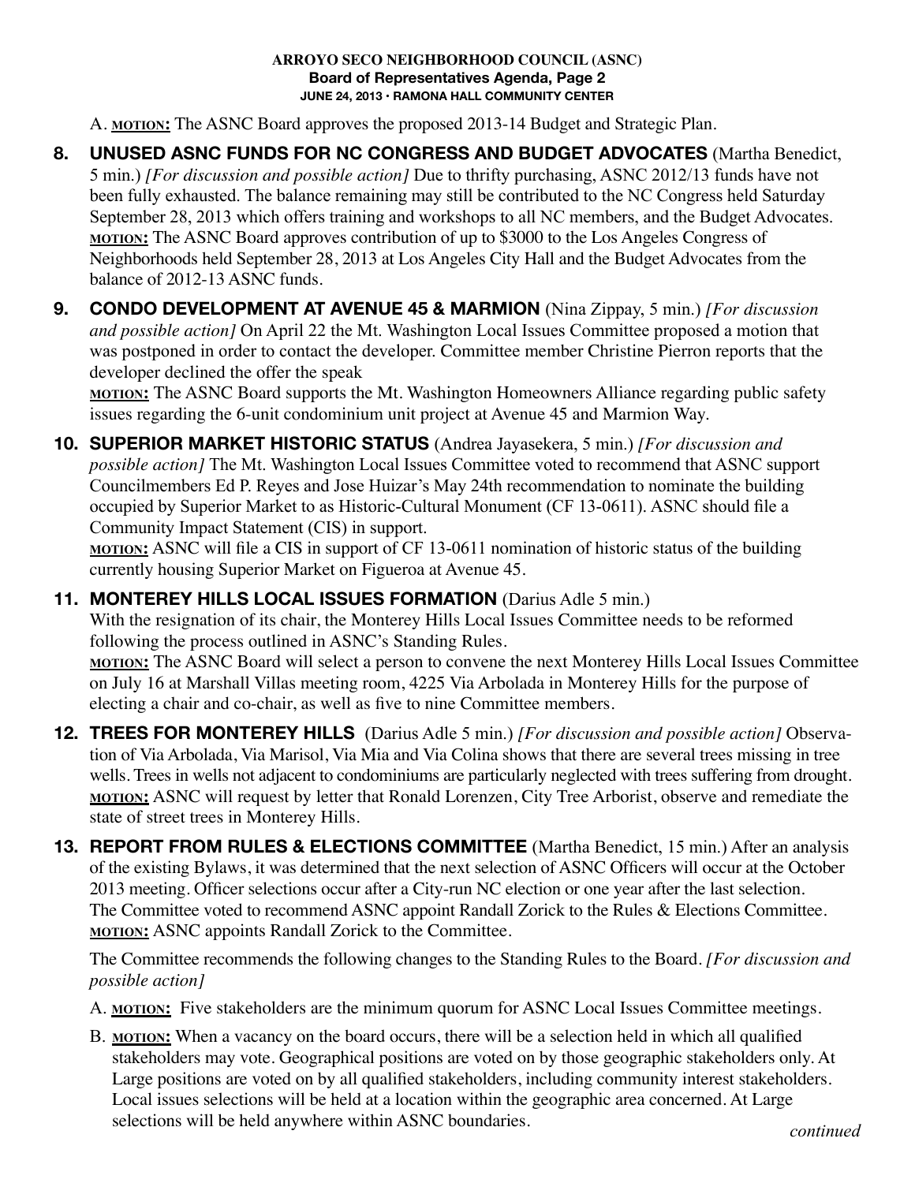#### **ARROYO SECO NEIGHBORHOOD COUNCIL (ASNC) Board of Representatives Agenda, Page 2 JUNE 24, 2013 • Ramona Hall Community Center**

A. **motion:** The ASNC Board approves the proposed 2013-14 Budget and Strategic Plan.

- 8. **UNUSED ASNC FUNDS FOR NC CONGRESS AND BUDGET ADVOCATES** (Martha Benedict, 5 min.) *[For discussion and possible action]* Due to thrifty purchasing, ASNC 2012/13 funds have not been fully exhausted. The balance remaining may still be contributed to the NC Congress held Saturday September 28, 2013 which offers training and workshops to all NC members, and the Budget Advocates. **motion:** The ASNC Board approves contribution of up to \$3000 to the Los Angeles Congress of Neighborhoods held September 28, 2013 at Los Angeles City Hall and the Budget Advocates from the balance of 2012-13 ASNC funds.
- **9. CONDO DEVELOPMENT AT AVENUE 45 & MARMION** (Nina Zippay, 5 min.) *[For discussion and possible action]* On April 22 the Mt. Washington Local Issues Committee proposed a motion that was postponed in order to contact the developer. Committee member Christine Pierron reports that the developer declined the offer the speak

**MOTION:** The ASNC Board supports the Mt. Washington Homeowners Alliance regarding public safety issues regarding the 6-unit condominium unit project at Avenue 45 and Marmion Way.

**10. SUPERIOR MARKET HISTORIC STATUS** (Andrea Jayasekera, 5 min.) *[For discussion and possible action]* The Mt. Washington Local Issues Committee voted to recommend that ASNC support Councilmembers Ed P. Reyes and Jose Huizar's May 24th recommendation to nominate the building occupied by Superior Market to as Historic-Cultural Monument (CF 13-0611). ASNC should file a Community Impact Statement (CIS) in support.

**<u>MOTION</u>**: ASNC will file a CIS in support of CF 13-0611 nomination of historic status of the building currently housing Superior Market on Figueroa at Avenue 45.

# **11. MONTEREY HILLS LOCAL ISSUES FORMATION** (Darius Adle 5 min.)

With the resignation of its chair, the Monterey Hills Local Issues Committee needs to be reformed following the process outlined in ASNC's Standing Rules.

**motion:** The ASNC Board will select a person to convene the next Monterey Hills Local Issues Committee on July 16 at Marshall Villas meeting room, 4225 Via Arbolada in Monterey Hills for the purpose of electing a chair and co-chair, as well as five to nine Committee members.

- **12. TREES FOR MONTEREY HILLS** (Darius Adle 5 min.) *[For discussion and possible action]* Observation of Via Arbolada, Via Marisol, Via Mia and Via Colina shows that there are several trees missing in tree wells. Trees in wells not adjacent to condominiums are particularly neglected with trees suffering from drought. **MOTION:** ASNC will request by letter that Ronald Lorenzen, City Tree Arborist, observe and remediate the state of street trees in Monterey Hills.
- **13. REPORT FROM RULES & ELECTIONS COMMITTEE** (Martha Benedict, 15 min.) After an analysis of the existing Bylaws, it was determined that the next selection of ASNC Officers will occur at the October 2013 meeting. Officer selections occur after a City-run NC election or one year after the last selection. The Committee voted to recommend ASNC appoint Randall Zorick to the Rules & Elections Committee. **motion:** ASNC appoints Randall Zorick to the Committee.

The Committee recommends the following changes to the Standing Rules to the Board. *[For discussion and possible action]*

- A. **motion:** Five stakeholders are the minimum quorum for ASNC Local Issues Committee meetings.
- B. **motion:** When a vacancy on the board occurs, there will be a selection held in which all qualified stakeholders may vote. Geographical positions are voted on by those geographic stakeholders only. At Large positions are voted on by all qualified stakeholders, including community interest stakeholders. Local issues selections will be held at a location within the geographic area concerned. At Large selections will be held anywhere within ASNC boundaries.